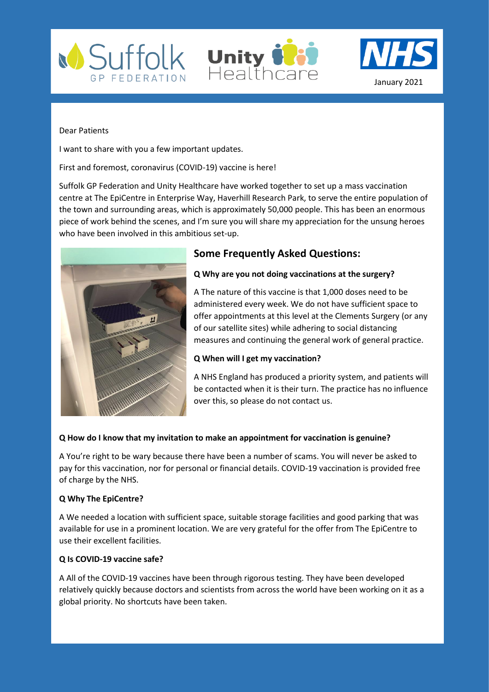





#### Dear Patients

I want to share with you a few important updates.

First and foremost, coronavirus (COVID-19) vaccine is here!

Suffolk GP Federation and Unity Healthcare have worked together to set up a mass vaccination centre at The EpiCentre in Enterprise Way, Haverhill Research Park, to serve the entire population of the town and surrounding areas, which is approximately 50,000 people. This has been an enormous piece of work behind the scenes, and I'm sure you will share my appreciation for the unsung heroes who have been involved in this ambitious set-up.



# **Some Frequently Asked Questions:**

# **Q Why are you not doing vaccinations at the surgery?**

A The nature of this vaccine is that 1,000 doses need to be administered every week. We do not have sufficient space to offer appointments at this level at the Clements Surgery (or any of our satellite sites) while adhering to social distancing measures and continuing the general work of general practice.

# **Q When will I get my vaccination?**

A NHS England has produced a priority system, and patients will be contacted when it is their turn. The practice has no influence over this, so please do not contact us.

# **Q How do I know that my invitation to make an appointment for vaccination is genuine?**

A You're right to be wary because there have been a number of scams. You will never be asked to pay for this vaccination, nor for personal or financial details. COVID-19 vaccination is provided free of charge by the NHS.

# **Q Why The EpiCentre?**

A We needed a location with sufficient space, suitable storage facilities and good parking that was available for use in a prominent location. We are very grateful for the offer from The EpiCentre to use their excellent facilities.

# **Q Is COVID-19 vaccine safe?**

A All of the COVID-19 vaccines have been through rigorous testing. They have been developed relatively quickly because doctors and scientists from across the world have been working on it as a global priority. No shortcuts have been taken.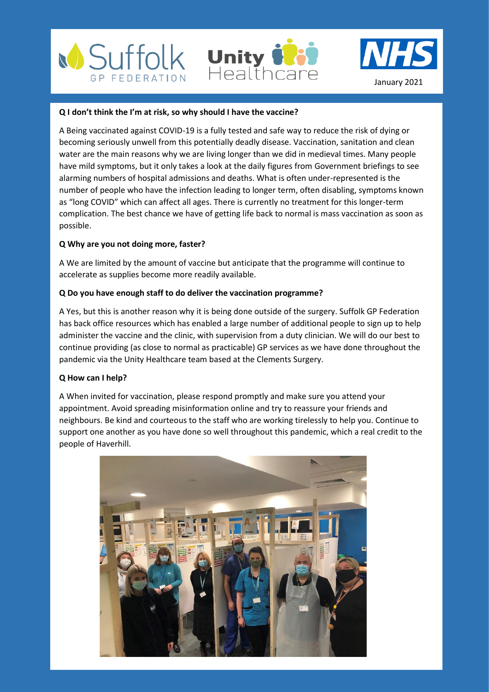





#### **Q I don't think the I'm at risk, so why should I have the vaccine?**

A Being vaccinated against COVID-19 is a fully tested and safe way to reduce the risk of dying or becoming seriously unwell from this potentially deadly disease. Vaccination, sanitation and clean water are the main reasons why we are living longer than we did in medieval times. Many people have mild symptoms, but it only takes a look at the daily figures from Government briefings to see alarming numbers of hospital admissions and deaths. What is often under-represented is the number of people who have the infection leading to longer term, often disabling, symptoms known as "long COVID" which can affect all ages. There is currently no treatment for this longer-term complication. The best chance we have of getting life back to normal is mass vaccination as soon as possible.

#### **Q Why are you not doing more, faster?**

A We are limited by the amount of vaccine but anticipate that the programme will continue to accelerate as supplies become more readily available.

#### **Q Do you have enough staff to do deliver the vaccination programme?**

A Yes, but this is another reason why it is being done outside of the surgery. Suffolk GP Federation has back office resources which has enabled a large number of additional people to sign up to help administer the vaccine and the clinic, with supervision from a duty clinician. We will do our best to continue providing (as close to normal as practicable) GP services as we have done throughout the pandemic via the Unity Healthcare team based at the Clements Surgery.

#### **Q How can I help?**

A When invited for vaccination, please respond promptly and make sure you attend your appointment. Avoid spreading misinformation online and try to reassure your friends and neighbours. Be kind and courteous to the staff who are working tirelessly to help you. Continue to support one another as you have done so well throughout this pandemic, which a real credit to the people of Haverhill.